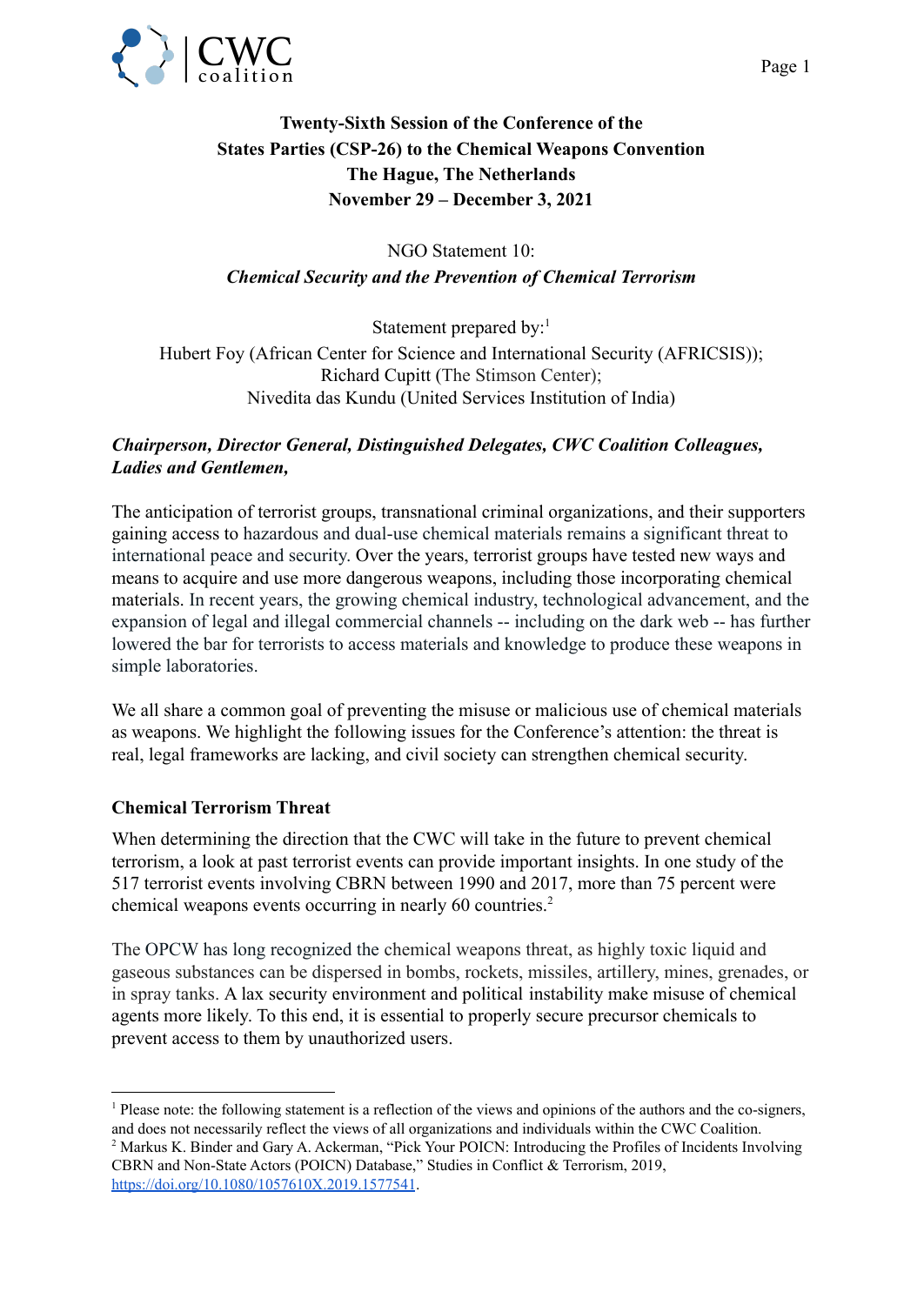

# **Twenty-Sixth Session of the Conference of the States Parties (CSP-26) to the Chemical Weapons Convention The Hague, The Netherlands November 29 – December 3, 2021**

# NGO Statement 10: *Chemical Security and the Prevention of Chemical Terrorism*

Statement prepared by:<sup>1</sup> Hubert Foy (African Center for Science and International Security (AFRICSIS)); Richard Cupitt (The Stimson Center); Nivedita das Kundu (United Services Institution of India)

# *Chairperson, Director General, Distinguished Delegates, CWC Coalition Colleagues, Ladies and Gentlemen,*

The anticipation of terrorist groups, transnational criminal organizations, and their supporters gaining access to hazardous and dual-use chemical materials remains a significant threat to international peace and security. Over the years, terrorist groups have tested new ways and means to acquire and use more dangerous weapons, including those incorporating chemical materials. In recent years, the growing chemical industry, technological advancement, and the expansion of legal and illegal commercial channels -- including on the dark web -- has further lowered the bar for terrorists to access materials and knowledge to produce these weapons in simple laboratories.

We all share a common goal of preventing the misuse or malicious use of chemical materials as weapons. We highlight the following issues for the Conference's attention: the threat is real, legal frameworks are lacking, and civil society can strengthen chemical security.

## **Chemical Terrorism Threat**

When determining the direction that the CWC will take in the future to prevent chemical terrorism, a look at past terrorist events can provide important insights. In one study of the 517 terrorist events involving CBRN between 1990 and 2017, more than 75 percent were chemical weapons events occurring in nearly 60 countries.<sup>2</sup>

The OPCW has long recognized the chemical weapons threat, as highly toxic liquid and gaseous substances can be dispersed in bombs, rockets, missiles, artillery, mines, grenades, or in spray tanks. A lax security environment and political instability make misuse of chemical agents more likely. To this end, it is essential to properly secure precursor chemicals to prevent access to them by unauthorized users.

<sup>&</sup>lt;sup>1</sup> Please note: the following statement is a reflection of the views and opinions of the authors and the co-signers, and does not necessarily reflect the views of all organizations and individuals within the CWC Coalition.

<sup>2</sup> Markus K. Binder and Gary A. Ackerman, "Pick Your POICN: Introducing the Profiles of Incidents Involving CBRN and Non-State Actors (POICN) Database," Studies in Conflict & Terrorism, 2019, <https://doi.org/10.1080/1057610X.2019.1577541>.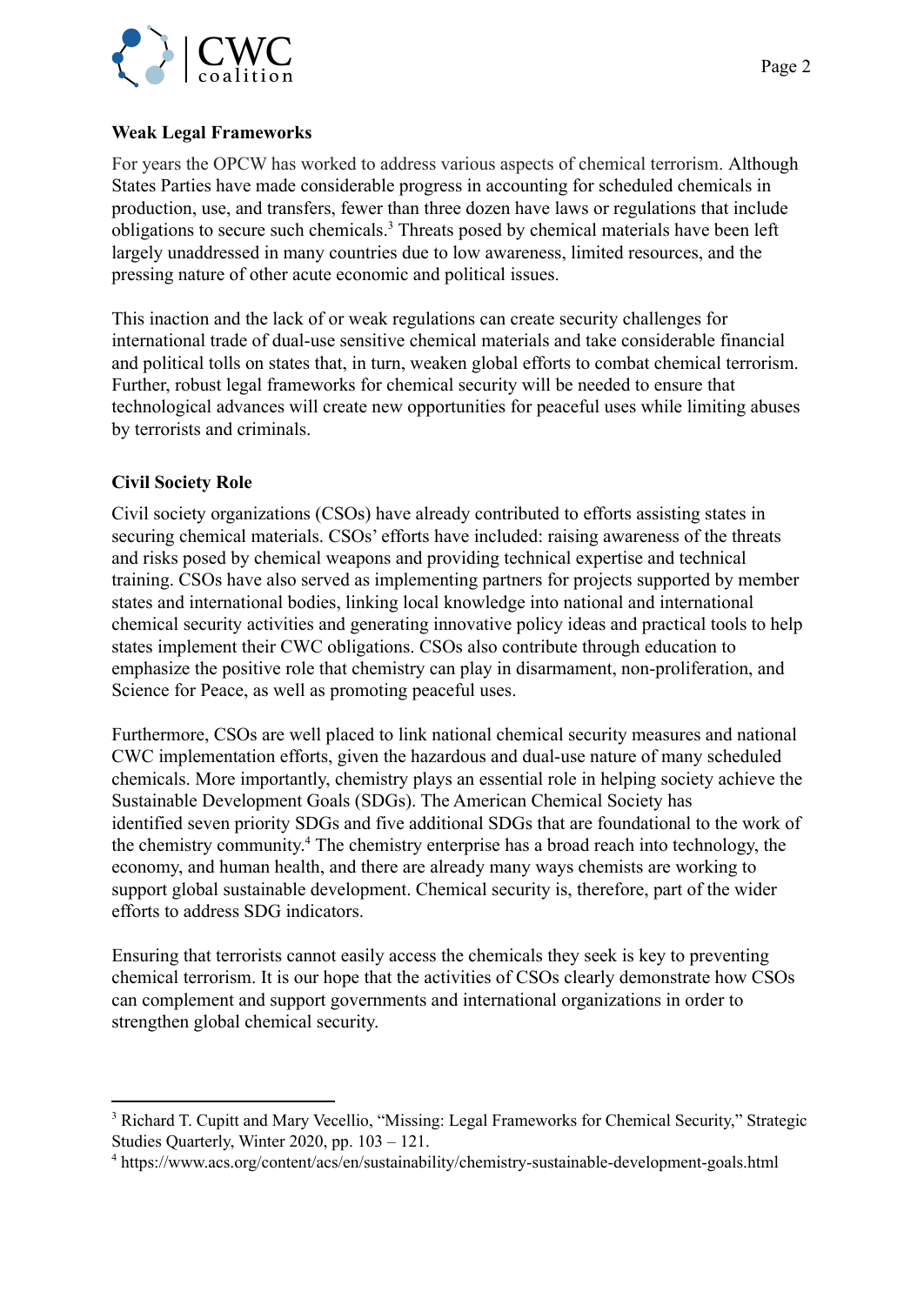

#### **Weak Legal Frameworks**

For years the OPCW has worked to address various aspects of chemical terrorism. Although States Parties have made considerable progress in accounting for scheduled chemicals in production, use, and transfers, fewer than three dozen have laws or regulations that include obligations to secure such chemicals.<sup>3</sup> Threats posed by chemical materials have been left largely unaddressed in many countries due to low awareness, limited resources, and the pressing nature of other acute economic and political issues.

This inaction and the lack of or weak regulations can create security challenges for international trade of dual-use sensitive chemical materials and take considerable financial and political tolls on states that, in turn, weaken global efforts to combat chemical terrorism. Further, robust legal frameworks for chemical security will be needed to ensure that technological advances will create new opportunities for peaceful uses while limiting abuses by terrorists and criminals.

## **Civil Society Role**

Civil society organizations (CSOs) have already contributed to efforts assisting states in securing chemical materials. CSOs' efforts have included: raising awareness of the threats and risks posed by chemical weapons and providing technical expertise and technical training. CSOs have also served as implementing partners for projects supported by member states and international bodies, linking local knowledge into national and international chemical security activities and generating innovative policy ideas and practical tools to help states implement their CWC obligations. CSOs also contribute through education to emphasize the positive role that chemistry can play in disarmament, non-proliferation, and Science for Peace, as well as promoting peaceful uses.

Furthermore, CSOs are well placed to link national chemical security measures and national CWC implementation efforts, given the hazardous and dual-use nature of many scheduled chemicals. More importantly, chemistry plays an essential role in helping society achieve the Sustainable Development Goals (SDGs). The American Chemical Society has identified seven priority SDGs and five additional SDGs that are foundational to the work of the chemistry community.<sup>4</sup> The chemistry enterprise has a broad reach into technology, the economy, and human health, and there are already many ways chemists are working to support global sustainable development. Chemical security is, therefore, part of the wider efforts to address SDG indicators.

Ensuring that terrorists cannot easily access the chemicals they seek is key to preventing chemical terrorism. It is our hope that the activities of CSOs clearly demonstrate how CSOs can complement and support governments and international organizations in order to strengthen global chemical security.

<sup>&</sup>lt;sup>3</sup> Richard T. Cupitt and Mary Vecellio, "Missing: Legal Frameworks for Chemical Security," Strategic Studies Quarterly, Winter 2020, pp. 103 – 121.

<sup>4</sup> https://www.acs.org/content/acs/en/sustainability/chemistry-sustainable-development-goals.html